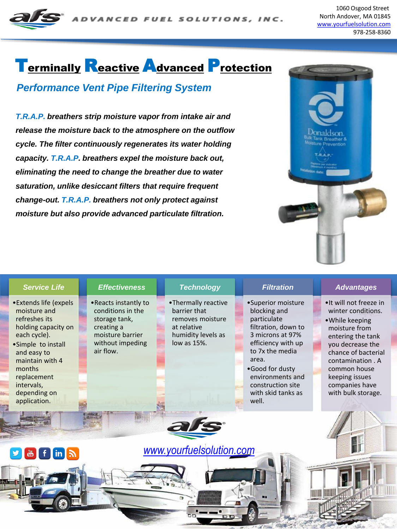

1060 Osgood Street North Andover, MA 01845 [www.yourfuelsolution.com](http://www.yourfuelsolutions.com/) 978-258-8360

## Terminally Reactive Advanced Protection

#### *Performance Vent Pipe Filtering System*

*T.R.A.P. breathers strip moisture vapor from intake air and release the moisture back to the atmosphere on the outflow cycle. The filter continuously regenerates its water holding capacity. T.R.A.P. breathers expel the moisture back out, eliminating the need to change the breather due to water saturation, unlike desiccant filters that require frequent change-out. T.R.A.P. breathers not only protect against moisture but also provide advanced particulate filtration.*



|                                                   | <b>Service Life</b>                                                                                                                                                                                                           |  | <b>Effectiveness</b>                                                                                                           |  | <b>Technology</b>                                                                                           |  | <b>Filtration</b>                                                                                                                                                                                                                         |  | <b>Advantages</b>                                                                                                                                                                                                                               |
|---------------------------------------------------|-------------------------------------------------------------------------------------------------------------------------------------------------------------------------------------------------------------------------------|--|--------------------------------------------------------------------------------------------------------------------------------|--|-------------------------------------------------------------------------------------------------------------|--|-------------------------------------------------------------------------------------------------------------------------------------------------------------------------------------------------------------------------------------------|--|-------------------------------------------------------------------------------------------------------------------------------------------------------------------------------------------------------------------------------------------------|
|                                                   | • Extends life (expels<br>moisture and<br>refreshes its<br>holding capacity on<br>each cycle).<br>•Simple to install<br>and easy to<br>maintain with 4<br>months<br>replacement<br>intervals,<br>depending on<br>application. |  | • Reacts instantly to<br>conditions in the<br>storage tank,<br>creating a<br>moisture barrier<br>without impeding<br>air flow. |  | •Thermally reactive<br>barrier that<br>removes moisture<br>at relative<br>humidity levels as<br>low as 15%. |  | •Superior moisture<br>blocking and<br>particulate<br>filtration, down to<br>3 microns at 97%<br>efficiency with up<br>to 7x the media<br>area.<br>•Good for dusty<br>environments and<br>construction site<br>with skid tanks as<br>well. |  | . It will not freeze in<br>winter conditions.<br>• While keeping<br>moisture from<br>entering the tank<br>you decrease the<br>chance of bacterial<br>contamination, A<br>common house<br>keeping issues<br>companies have<br>with bulk storage. |
| www.yourfuelsolution.com<br><b>J &amp; f in A</b> |                                                                                                                                                                                                                               |  |                                                                                                                                |  |                                                                                                             |  |                                                                                                                                                                                                                                           |  |                                                                                                                                                                                                                                                 |
|                                                   |                                                                                                                                                                                                                               |  |                                                                                                                                |  |                                                                                                             |  |                                                                                                                                                                                                                                           |  |                                                                                                                                                                                                                                                 |